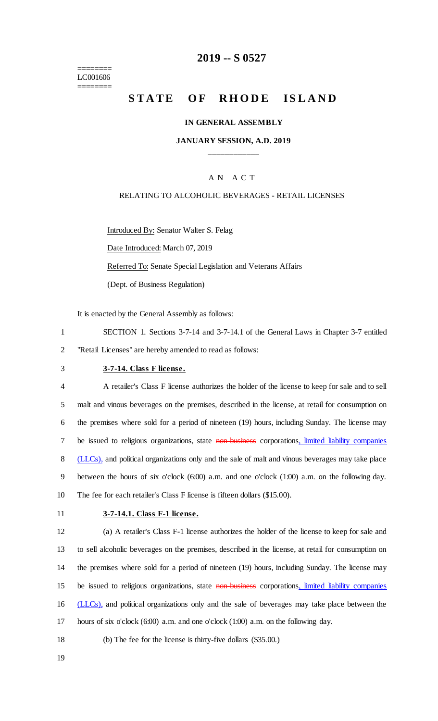======== LC001606 ========

## **2019 -- S 0527**

# **STATE OF RHODE ISLAND**

#### **IN GENERAL ASSEMBLY**

## **JANUARY SESSION, A.D. 2019 \_\_\_\_\_\_\_\_\_\_\_\_**

## A N A C T

#### RELATING TO ALCOHOLIC BEVERAGES - RETAIL LICENSES

Introduced By: Senator Walter S. Felag Date Introduced: March 07, 2019 Referred To: Senate Special Legislation and Veterans Affairs (Dept. of Business Regulation)

It is enacted by the General Assembly as follows:

- 1 SECTION 1. Sections 3-7-14 and 3-7-14.1 of the General Laws in Chapter 3-7 entitled 2 "Retail Licenses" are hereby amended to read as follows:
- 

## 3 **3-7-14. Class F license.**

 A retailer's Class F license authorizes the holder of the license to keep for sale and to sell malt and vinous beverages on the premises, described in the license, at retail for consumption on the premises where sold for a period of nineteen (19) hours, including Sunday. The license may 7 be issued to religious organizations, state non-business corporations, limited liability companies 8 (LLCs), and political organizations only and the sale of malt and vinous beverages may take place between the hours of six o'clock (6:00) a.m. and one o'clock (1:00) a.m. on the following day. The fee for each retailer's Class F license is fifteen dollars (\$15.00).

#### 11 **3-7-14.1. Class F-1 license.**

 (a) A retailer's Class F-1 license authorizes the holder of the license to keep for sale and to sell alcoholic beverages on the premises, described in the license, at retail for consumption on the premises where sold for a period of nineteen (19) hours, including Sunday. The license may 15 be issued to religious organizations, state non-business corporations, limited liability companies 16 (LLCs), and political organizations only and the sale of beverages may take place between the hours of six o'clock (6:00) a.m. and one o'clock (1:00) a.m. on the following day.

- 18 (b) The fee for the license is thirty-five dollars (\$35.00.)
- 19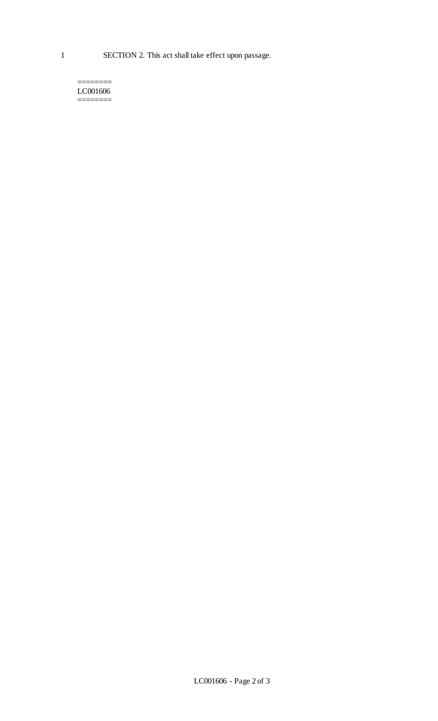======== LC001606  $=$